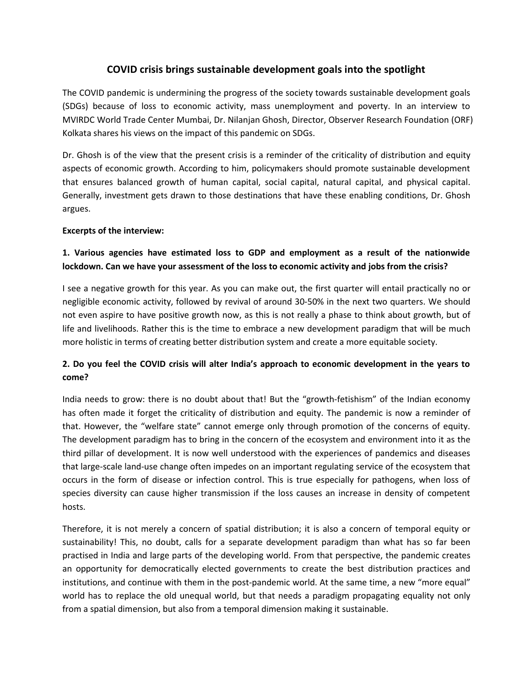### **COVID crisis brings sustainable development goals into the spotlight**

The COVID pandemic is undermining the progress of the society towards sustainable development goals (SDGs) because of loss to economic activity, mass unemployment and poverty. In an interview to MVIRDC World Trade Center Mumbai, Dr. Nilanjan Ghosh, Director, Observer Research Foundation (ORF) Kolkata shares his views on the impact of this pandemic on SDGs.

Dr. Ghosh is of the view that the present crisis is a reminder of the criticality of distribution and equity aspects of economic growth. According to him, policymakers should promote sustainable development that ensures balanced growth of human capital, social capital, natural capital, and physical capital. Generally, investment gets drawn to those destinations that have these enabling conditions, Dr. Ghosh argues.

### **Excerpts of the interview:**

# **1. Various agencies have estimated loss to GDP and employment as a resultof the nationwide lockdown. Can we have your assessment of the loss to economic activity and jobs from the crisis?**

I see a negative growth for this year. As you can make out, the first quarter will entail practically no or negligible economic activity, followed by revival of around 30-50% in the next two quarters. We should not even aspire to have positive growth now, as this is not really a phase to think about growth, but of life and livelihoods. Rather this is the time to embrace a new development paradigm that will be much more holistic in terms of creating better distribution system and create a more equitable society.

# 2. Do you feel the COVID crisis will alter India's approach to economic development in the years to **come?**

India needs to grow: there is no doubt about that! But the "growth-fetishism" of the Indian economy has often made it forget the criticality of distribution and equity. The pandemic is now a reminder of that. However, the "welfare state" cannot emerge only through promotion of the concerns of equity. The development paradigm has to bring in the concern of the ecosystem and environment into it as the third pillar of development. It is now well understood with the experiences of pandemics and diseases that large-scale land-use change often impedes on an important regulating service of the ecosystem that occurs in the form of disease or infection control. This is true especially for pathogens, when loss of species diversity can cause higher transmission if the loss causes an increase in density of competent hosts.

Therefore, it is not merely a concern of spatial distribution; it is also a concern of temporal equity or sustainability! This, no doubt, calls for a separate development paradigm than what has so far been practised in India and large parts of the developing world. From that perspective, the pandemic creates an opportunity for democratically elected governments to create the best distribution practices and institutions, and continue with them in the post-pandemic world. At the same time, a new "more equal" world has to replace the old unequal world, but that needs a paradigm propagating equality not only from a spatial dimension, but also from a temporal dimension making it sustainable.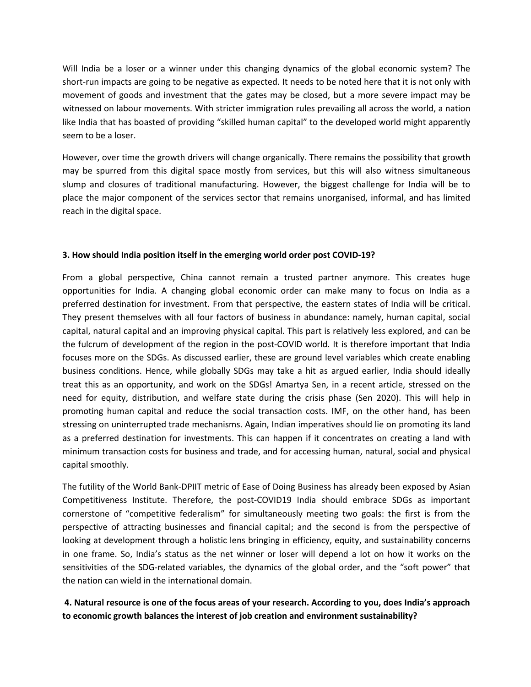Will India be a loser or a winner under this changing dynamics of the global economic system? The short-run impacts are going to be negative as expected. It needs to be noted here that it is not only with movement of goods and investment that the gates may be closed, but a more severe impact may be witnessed on labour movements. With stricter immigration rules prevailing all across the world, a nation like India that has boasted of providing "skilled human capital" to the developed world might apparently seem to be a loser.

However, over time the growth drivers will change organically. There remains the possibility that growth may be spurred from this digital space mostly from services, but this will also witness simultaneous slump and closures of traditional manufacturing. However, the biggest challenge for India will be to place the major component of the services sector that remains unorganised, informal, and has limited reach in the digital space.

### **3. How should India position itself in the emerging world order post COVID-19?**

From a global perspective, China cannot remain a trusted partner anymore. This creates huge opportunities for India. A changing global economic order can make many to focus on India as a preferred destination for investment. From that perspective, the eastern states of India will be critical. They present themselves with all four factors of business in abundance: namely, human capital, social capital, natural capital and an improving physical capital. This part is relatively less explored, and can be the fulcrum of development of the region in the post-COVID world. It is therefore important that India focuses more on the SDGs. As discussed earlier, these are ground level variables which create enabling business conditions. Hence, while globally SDGs may take a hit as argued earlier, India should ideally treat this as an opportunity, and work on the SDGs! Amartya Sen, in arecent article, stressed on the need for equity, distribution, and welfare state during the crisis phase (Sen 2020). This will help in promoting human capital and reduce the social transaction costs. IMF, on the other hand, has been stressing on uninterrupted trade mechanisms. Again, Indian imperatives should lie on promoting its land as a preferred destination for investments. This can happen if it concentrates on creating a land with minimum transaction costs for business and trade, and for accessing human, natural, social and physical capital smoothly.

The futility of the World Bank-DPIIT metric of Ease of Doing Business has already been exposed by Asian Competitiveness Institute. Therefore, the post-COVID19 India should embrace SDGs as important cornerstone of "competitive federalism" for simultaneously meeting two goals: the first is from the perspective of attracting businesses and financial capital; and the second is from the perspective of looking at development through a holistic lens bringing in efficiency, equity, and sustainability concerns in one frame. So, India's status as the net winner or loser will depend a lot on how it works on the sensitivities of the SDG-related variables, the dynamics of the global order, and the "soft power" that the nation can wield in the international domain.

# 4. Natural resource is one of the focus areas of your research. According to you, does India's approach **to economic growth balances the interest of job creation and environment sustainability?**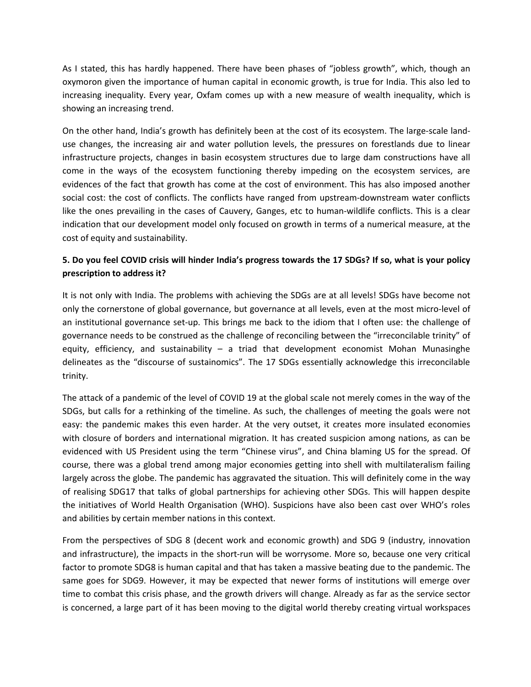As I stated, this has hardly happened. There have been phases of "jobless growth", which, though an oxymoron given the importance of human capital in economic growth, is true for India. This also led to increasing inequality. Every year, Oxfam comes up with a new measure of wealth inequality, which is showing an increasing trend.

On the other hand, India's growth has definitely been at the cost of its ecosystem. The large-scale land use changes, the increasing air and water pollution levels, the pressures on forestlands due to linear infrastructure projects, changes in basin ecosystem structures due to large dam constructions have all come in the ways of the ecosystem functioning thereby impeding on the ecosystem services, are evidences of the fact that growth has come at the cost of environment. This has also imposed another social cost: the cost of conflicts. The conflicts have ranged from upstream-downstream water conflicts like the ones prevailing in the cases of Cauvery, Ganges, etc to human-wildlife conflicts. This is a clear indication that our development model only focused on growth in terms of a numerical measure, at the cost of equity and sustainability.

# 5. Do you feel COVID crisis will hinder India's progress towards the 17 SDGs? If so, what is your policy **prescription to address it?**

It is not only with India. The problems with achieving the SDGs are at all levels! SDGs have become not only the cornerstone of global governance, but governance at all levels, even at the most micro-level of an institutional governance set-up. This brings me back to the idiom that I often use: the challenge of governance needs to be construed as the challenge of reconciling between the "irreconcilable trinity" of equity, efficiency, and sustainability – a triad that development economist Mohan Munasinghe delineates as the "discourse of sustainomics". The 17 SDGs essentially acknowledge this irreconcilable trinity.

The attack of a pandemic of the level of COVID 19 at the global scale not merely comes in the way of the SDGs, but calls for a rethinking of the timeline. As such, the challenges of meeting the goals were not easy: the pandemic makes this even harder. At the very outset, it creates more insulated economies with closure of borders and international migration. It has created suspicion among nations, as can be evidenced with US President using the term "Chinese virus", and China blaming US for the spread. Of course, there was a global trend among major economies getting into shell with multilateralism failing largely across the globe. The pandemic has aggravated the situation. This will definitely come in the way of realising SDG17 that talks of global partnerships for achieving other SDGs. This will happen despite the initiatives of World Health Organisation (WHO). Suspicions have also been cast over WHO's roles and abilities by certain member nations in this context.

From the perspectives of SDG 8 (decent work and economic growth) and SDG 9 (industry, innovation and infrastructure), the impacts in the short-run will be worrysome. More so, because one very critical factor to promote SDG8 is human capital and that has taken a massive beating due to the pandemic. The same goes for SDG9. However, it may be expected that newer forms of institutions will emerge over time to combat this crisis phase, and the growth drivers will change. Already as far as the service sector is concerned, a large part of it has been moving to the digital world thereby creating virtual workspaces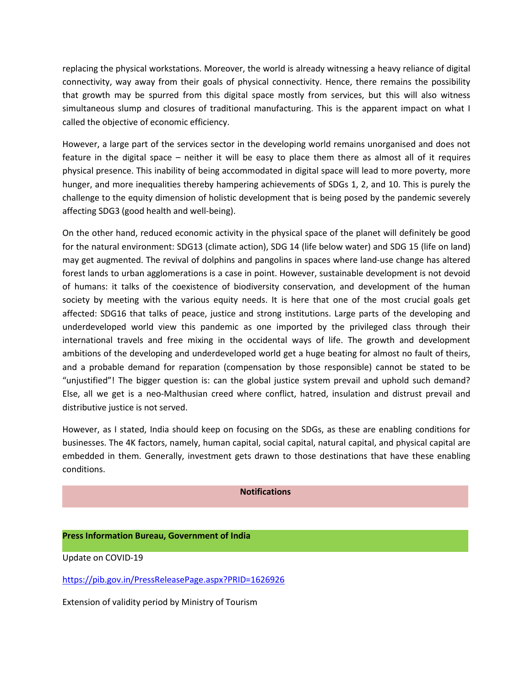replacing the physical workstations. Moreover, the world is already witnessing a heavy reliance of digital connectivity, way away from their goals of physical connectivity. Hence, there remains the possibility that growth may be spurred from this digital space mostly from services, but this will also witness simultaneous slump and closures of traditional manufacturing. This is the apparent impact on what I called the objective of economic efficiency.

However, a large part of the services sector in the developing world remains unorganised and does not feature in the digital space – neither it will be easy to place them there as almost all of it requires physical presence. This inability of being accommodated in digital space will lead to more poverty, more hunger, and more inequalities thereby hampering achievements of SDGs 1, 2, and 10. This is purely the challenge to the equity dimension of holistic development that is being posed by the pandemic severely affecting SDG3 (good health and well-being).

On the other hand, reduced economic activity in the physical space of the planet will definitely be good for the natural environment: SDG13 (climate action), SDG 14 (life below water) and SDG 15 (life on land) may get augmented. The revival of dolphins and pangolins in spaces where land-use change has altered forest lands to urban agglomerations is a case in point. However, sustainable development is not devoid of humans: it talks of the coexistence of biodiversity conservation, and development of the human society by meeting with the various equity needs. It is here that one of the most crucial goals get affected: SDG16 that talks of peace, justice and strong institutions. Large parts of the developing and underdeveloped world view this pandemic as one imported by the privileged class through their international travels and free mixing in the occidental ways of life. The growth and development ambitions of the developing and underdeveloped world get a huge beating for almost no fault of theirs, and a probable demand for reparation (compensation by those responsible) cannot be stated to be "unjustified"! The bigger question is: can the global justice system prevail and uphold such demand? Else, all we get is a neo-Malthusian creed where conflict, hatred, insulation and distrust prevail and distributive justice is not served.

However, as I stated, India should keep on focusing on the SDGs, as these are enabling conditions for businesses. The 4K factors, namely, human capital, social capital, natural capital, and physical capital are embedded in them. Generally, investment gets drawn to those destinations that have these enabling conditions.

### **Notifications**

### **Press Information Bureau, Government of India**

Update on COVID-19

<https://pib.gov.in/PressReleasePage.aspx?PRID=1626926>

Extension of validity period by Ministry of Tourism